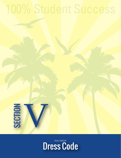

**SECTION** 

V